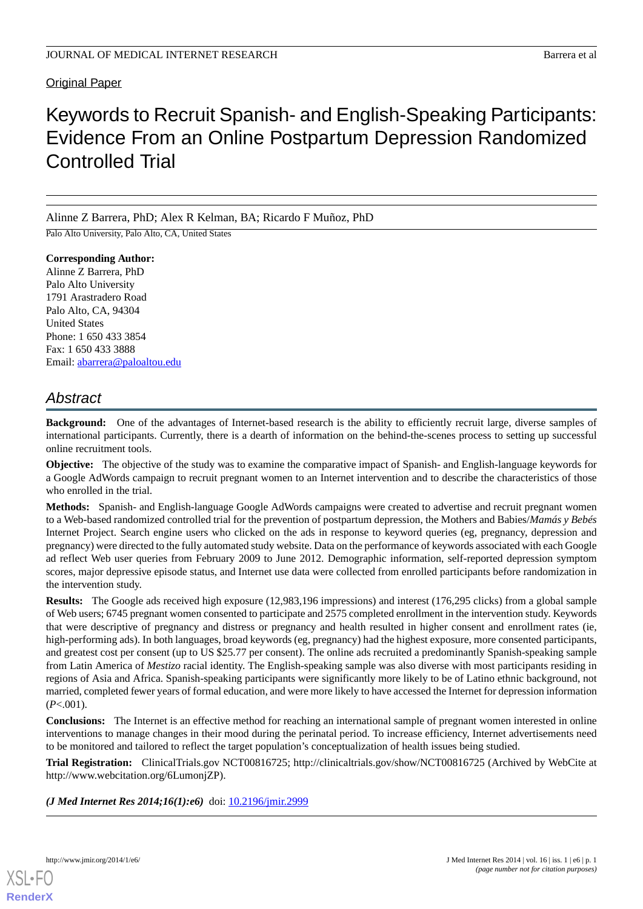# **Original Paper**

# Keywords to Recruit Spanish- and English-Speaking Participants: Evidence From an Online Postpartum Depression Randomized Controlled Trial

Alinne Z Barrera, PhD; Alex R Kelman, BA; Ricardo F Muñoz, PhD

Palo Alto University, Palo Alto, CA, United States

**Corresponding Author:** Alinne Z Barrera, PhD Palo Alto University 1791 Arastradero Road Palo Alto, CA, 94304 United States Phone: 1 650 433 3854 Fax: 1 650 433 3888 Email: [abarrera@paloaltou.edu](mailto:abarrera@paloaltou.edu)

# *Abstract*

**Background:** One of the advantages of Internet-based research is the ability to efficiently recruit large, diverse samples of international participants. Currently, there is a dearth of information on the behind-the-scenes process to setting up successful online recruitment tools.

**Objective:** The objective of the study was to examine the comparative impact of Spanish- and English-language keywords for a Google AdWords campaign to recruit pregnant women to an Internet intervention and to describe the characteristics of those who enrolled in the trial.

**Methods:** Spanish- and English-language Google AdWords campaigns were created to advertise and recruit pregnant women to a Web-based randomized controlled trial for the prevention of postpartum depression, the Mothers and Babies/*Mamás y Bebés* Internet Project. Search engine users who clicked on the ads in response to keyword queries (eg, pregnancy, depression and pregnancy) were directed to the fully automated study website. Data on the performance of keywords associated with each Google ad reflect Web user queries from February 2009 to June 2012. Demographic information, self-reported depression symptom scores, major depressive episode status, and Internet use data were collected from enrolled participants before randomization in the intervention study.

**Results:** The Google ads received high exposure (12,983,196 impressions) and interest (176,295 clicks) from a global sample of Web users; 6745 pregnant women consented to participate and 2575 completed enrollment in the intervention study. Keywords that were descriptive of pregnancy and distress or pregnancy and health resulted in higher consent and enrollment rates (ie, high-performing ads). In both languages, broad keywords (eg, pregnancy) had the highest exposure, more consented participants, and greatest cost per consent (up to US \$25.77 per consent). The online ads recruited a predominantly Spanish-speaking sample from Latin America of *Mestizo* racial identity. The English-speaking sample was also diverse with most participants residing in regions of Asia and Africa. Spanish-speaking participants were significantly more likely to be of Latino ethnic background, not married, completed fewer years of formal education, and were more likely to have accessed the Internet for depression information (*P*<.001).

**Conclusions:** The Internet is an effective method for reaching an international sample of pregnant women interested in online interventions to manage changes in their mood during the perinatal period. To increase efficiency, Internet advertisements need to be monitored and tailored to reflect the target population's conceptualization of health issues being studied.

**Trial Registration:** ClinicalTrials.gov NCT00816725; http://clinicaltrials.gov/show/NCT00816725 (Archived by WebCite at http://www.webcitation.org/6LumonjZP).

(*J Med Internet Res 2014;16(1):e6*) doi: [10.2196/jmir.2999](http://dx.doi.org/10.2196/jmir.2999)

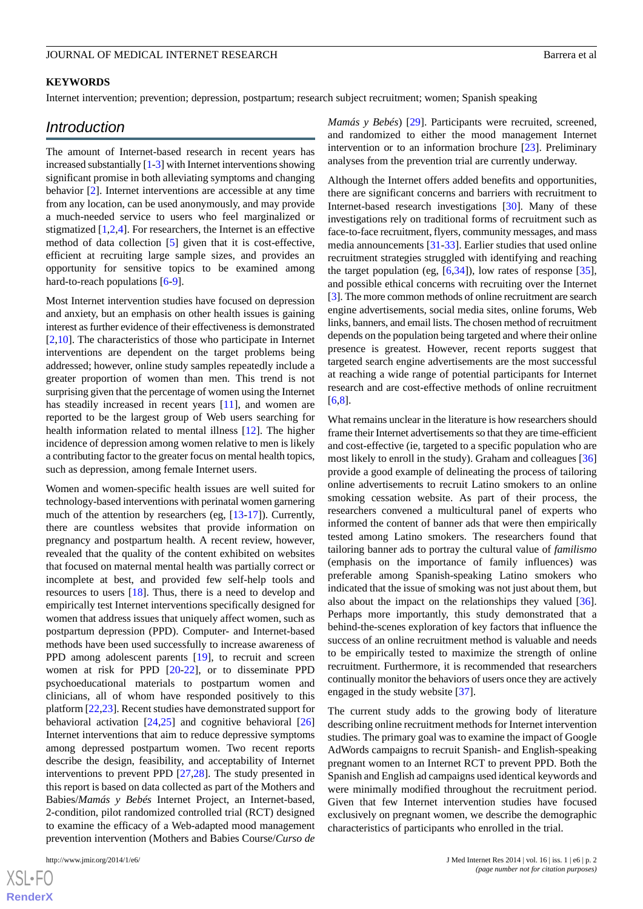# **KEYWORDS**

Internet intervention; prevention; depression, postpartum; research subject recruitment; women; Spanish speaking

# *Introduction*

The amount of Internet-based research in recent years has increased substantially [\[1-](#page-9-0)[3\]](#page-10-0) with Internet interventions showing significant promise in both alleviating symptoms and changing behavior [[2\]](#page-10-1). Internet interventions are accessible at any time from any location, can be used anonymously, and may provide a much-needed service to users who feel marginalized or stigmatized [\[1](#page-9-0),[2](#page-10-1)[,4](#page-10-2)]. For researchers, the Internet is an effective method of data collection [\[5](#page-10-3)] given that it is cost-effective, efficient at recruiting large sample sizes, and provides an opportunity for sensitive topics to be examined among hard-to-reach populations [\[6](#page-10-4)-[9\]](#page-10-5).

Most Internet intervention studies have focused on depression and anxiety, but an emphasis on other health issues is gaining interest as further evidence of their effectiveness is demonstrated [[2](#page-10-1)[,10](#page-10-6)]. The characteristics of those who participate in Internet interventions are dependent on the target problems being addressed; however, online study samples repeatedly include a greater proportion of women than men. This trend is not surprising given that the percentage of women using the Internet has steadily increased in recent years [[11\]](#page-10-7), and women are reported to be the largest group of Web users searching for health information related to mental illness [\[12](#page-10-8)]. The higher incidence of depression among women relative to men is likely a contributing factor to the greater focus on mental health topics, such as depression, among female Internet users.

Women and women-specific health issues are well suited for technology-based interventions with perinatal women garnering much of the attention by researchers (eg, [[13-](#page-10-9)[17](#page-10-10)]). Currently, there are countless websites that provide information on pregnancy and postpartum health. A recent review, however, revealed that the quality of the content exhibited on websites that focused on maternal mental health was partially correct or incomplete at best, and provided few self-help tools and resources to users [\[18](#page-10-11)]. Thus, there is a need to develop and empirically test Internet interventions specifically designed for women that address issues that uniquely affect women, such as postpartum depression (PPD). Computer- and Internet-based methods have been used successfully to increase awareness of PPD among adolescent parents [\[19](#page-10-12)], to recruit and screen women at risk for PPD [\[20](#page-10-13)[-22](#page-10-14)], or to disseminate PPD psychoeducational materials to postpartum women and clinicians, all of whom have responded positively to this platform [\[22](#page-10-14),[23\]](#page-10-15). Recent studies have demonstrated support for behavioral activation [\[24](#page-10-16),[25\]](#page-10-17) and cognitive behavioral [\[26](#page-11-0)] Internet interventions that aim to reduce depressive symptoms among depressed postpartum women. Two recent reports describe the design, feasibility, and acceptability of Internet interventions to prevent PPD [[27](#page-11-1)[,28](#page-11-2)]. The study presented in this report is based on data collected as part of the Mothers and Babies/*Mamás y Bebés* Internet Project, an Internet-based, 2-condition, pilot randomized controlled trial (RCT) designed to examine the efficacy of a Web-adapted mood management prevention intervention (Mothers and Babies Course/*Curso de*

[XSL](http://www.w3.org/Style/XSL)•FO **[RenderX](http://www.renderx.com/)** *Mamás y Bebés*) [[29\]](#page-11-3). Participants were recruited, screened, and randomized to either the mood management Internet intervention or to an information brochure [[23\]](#page-10-15). Preliminary analyses from the prevention trial are currently underway.

Although the Internet offers added benefits and opportunities, there are significant concerns and barriers with recruitment to Internet-based research investigations [[30\]](#page-11-4). Many of these investigations rely on traditional forms of recruitment such as face-to-face recruitment, flyers, community messages, and mass media announcements [\[31](#page-11-5)-[33\]](#page-11-6). Earlier studies that used online recruitment strategies struggled with identifying and reaching the target population (eg,  $[6,34]$  $[6,34]$  $[6,34]$ ), low rates of response  $[35]$  $[35]$ , and possible ethical concerns with recruiting over the Internet [[3\]](#page-10-0). The more common methods of online recruitment are search engine advertisements, social media sites, online forums, Web links, banners, and email lists. The chosen method of recruitment depends on the population being targeted and where their online presence is greatest. However, recent reports suggest that targeted search engine advertisements are the most successful at reaching a wide range of potential participants for Internet research and are cost-effective methods of online recruitment [[6](#page-10-4)[,8\]](#page-10-18).

What remains unclear in the literature is how researchers should frame their Internet advertisements so that they are time-efficient and cost-effective (ie, targeted to a specific population who are most likely to enroll in the study). Graham and colleagues [\[36](#page-11-9)] provide a good example of delineating the process of tailoring online advertisements to recruit Latino smokers to an online smoking cessation website. As part of their process, the researchers convened a multicultural panel of experts who informed the content of banner ads that were then empirically tested among Latino smokers. The researchers found that tailoring banner ads to portray the cultural value of *familismo* (emphasis on the importance of family influences) was preferable among Spanish-speaking Latino smokers who indicated that the issue of smoking was not just about them, but also about the impact on the relationships they valued [[36\]](#page-11-9). Perhaps more importantly, this study demonstrated that a behind-the-scenes exploration of key factors that influence the success of an online recruitment method is valuable and needs to be empirically tested to maximize the strength of online recruitment. Furthermore, it is recommended that researchers continually monitor the behaviors of users once they are actively engaged in the study website [[37\]](#page-11-10).

The current study adds to the growing body of literature describing online recruitment methods for Internet intervention studies. The primary goal was to examine the impact of Google AdWords campaigns to recruit Spanish- and English-speaking pregnant women to an Internet RCT to prevent PPD. Both the Spanish and English ad campaigns used identical keywords and were minimally modified throughout the recruitment period. Given that few Internet intervention studies have focused exclusively on pregnant women, we describe the demographic characteristics of participants who enrolled in the trial.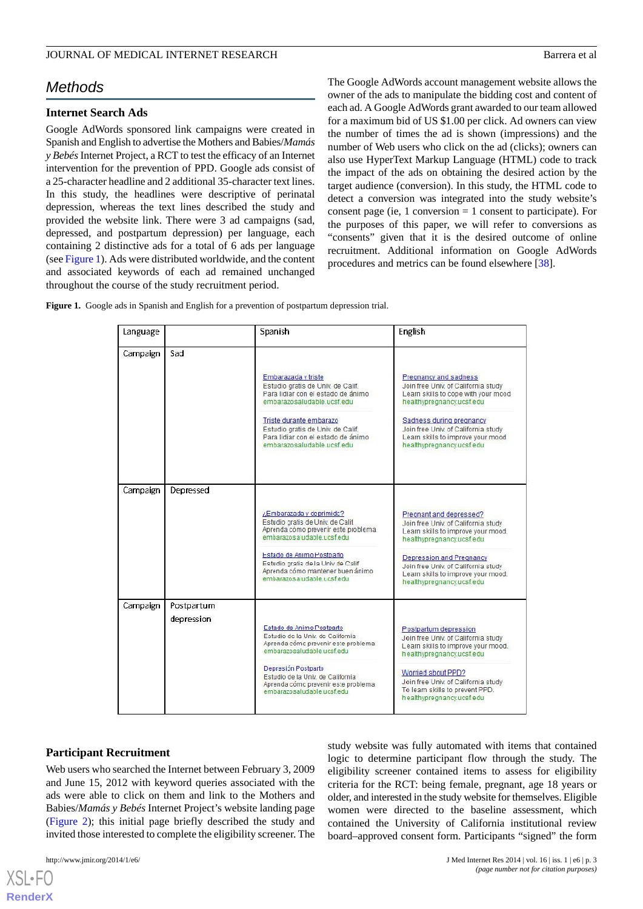# *Methods*

# **Internet Search Ads**

Google AdWords sponsored link campaigns were created in Spanish and English to advertise the Mothers and Babies/*Mamás y Bebés*Internet Project, a RCT to test the efficacy of an Internet intervention for the prevention of PPD. Google ads consist of a 25-character headline and 2 additional 35-character text lines. In this study, the headlines were descriptive of perinatal depression, whereas the text lines described the study and provided the website link. There were 3 ad campaigns (sad, depressed, and postpartum depression) per language, each containing 2 distinctive ads for a total of 6 ads per language (see [Figure 1](#page-2-0)). Ads were distributed worldwide, and the content and associated keywords of each ad remained unchanged throughout the course of the study recruitment period.

The Google AdWords account management website allows the owner of the ads to manipulate the bidding cost and content of each ad. A Google AdWords grant awarded to our team allowed for a maximum bid of US \$1.00 per click. Ad owners can view the number of times the ad is shown (impressions) and the number of Web users who click on the ad (clicks); owners can also use HyperText Markup Language (HTML) code to track the impact of the ads on obtaining the desired action by the target audience (conversion). In this study, the HTML code to detect a conversion was integrated into the study website's consent page (ie, 1 conversion  $= 1$  consent to participate). For the purposes of this paper, we will refer to conversions as "consents" given that it is the desired outcome of online recruitment. Additional information on Google AdWords procedures and metrics can be found elsewhere [[38\]](#page-11-11).

<span id="page-2-0"></span>**Figure 1.** Google ads in Spanish and English for a prevention of postpartum depression trial.

| Language |                          | Spanish                                                                                                                                                                                                                                                                  | <b>English</b>                                                                                                                                                                                                                                                          |
|----------|--------------------------|--------------------------------------------------------------------------------------------------------------------------------------------------------------------------------------------------------------------------------------------------------------------------|-------------------------------------------------------------------------------------------------------------------------------------------------------------------------------------------------------------------------------------------------------------------------|
| Campaign | Sad                      | Embarazada v triste<br>Estudio gratis de Univ. de Calif.<br>Para lidiar con el estado de ánimo<br>embarazosaludable.ucsf.edu<br>Triste durante embarazo<br>Estudio gratis de Univ. de Calif.<br>Para lidiar con el estado de ánimo<br>embarazosaludable ucsf.edu         | Pregnancy and sadness<br>Join free Univ. of California study<br>Learn skills to cope with your mood<br>healthypregnancy.ucsf.edu<br>Sadness during pregnancy<br>Join free Univ. of California study<br>Learn skills to improve your mood<br>healthypregnancy.ucsf.edu   |
| Campaign | Depressed                | ¿Embarazada y deprimida?<br>Estudio pratis de Univ. de Calif.<br>Aprenda cómo preverir este problema<br>embarazosa udable.ucsf.edu<br>Estado de Animo Postparlo<br>Estudio gratis de la Univ de Calif<br>Aprenda cómo mantener buen ánimo<br>embarazos a udable.ucsf.edu | Pregnant and depressed?<br>Join free Univ. of California study<br>Learn skills to improve your mood.<br>healthypregnancy.ucsf.edu<br>Depression and Pregnancy<br>Join free Univ. of California study<br>Learn skills to improve your mood.<br>healthypregnancy.ucsf.edu |
| Campaign | Postpartum<br>depression | Estado de Animo Postparto<br>Estudio de la Univ. de California<br>Aprenda cómo prevenir este problema<br>embarazosaludable ucsf.edu<br>Depresión Postparto<br>Estudio de la Univ. de California<br>Aprenda cómo prevenir este problema<br>embarazosaludable ucsf.edu.    | Postpartum depression<br>Join free Univ. of California study<br>Learn skills to improve your mood.<br>healthypregnancy.ucsf.edu<br>Worried about PPD?<br>Join free Univ. of California study<br>To learn skills to prevent PPD.<br>healthypregnancy.ucsf.edu            |

# **Participant Recruitment**

Web users who searched the Internet between February 3, 2009 and June 15, 2012 with keyword queries associated with the ads were able to click on them and link to the Mothers and Babies/*Mamás y Bebés* Internet Project's website landing page ([Figure 2](#page-3-0)); this initial page briefly described the study and invited those interested to complete the eligibility screener. The

[XSL](http://www.w3.org/Style/XSL)•FO **[RenderX](http://www.renderx.com/)**

study website was fully automated with items that contained logic to determine participant flow through the study. The eligibility screener contained items to assess for eligibility criteria for the RCT: being female, pregnant, age 18 years or older, and interested in the study website for themselves. Eligible women were directed to the baseline assessment, which contained the University of California institutional review board–approved consent form. Participants "signed" the form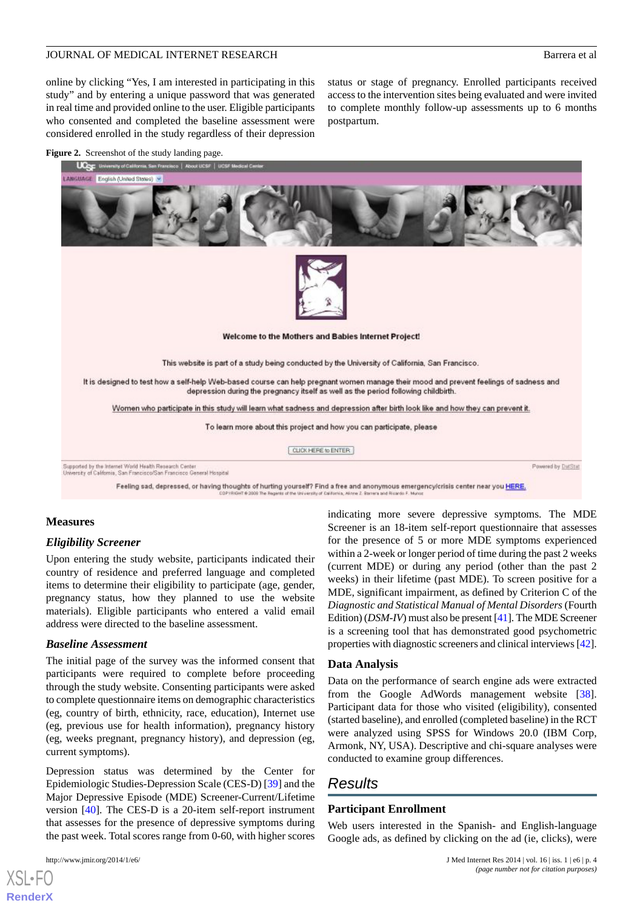Powered by DatStat

online by clicking "Yes, I am interested in participating in this study" and by entering a unique password that was generated in real time and provided online to the user. Eligible participants who consented and completed the baseline assessment were considered enrolled in the study regardless of their depression

status or stage of pregnancy. Enrolled participants received access to the intervention sites being evaluated and were invited to complete monthly follow-up assessments up to 6 months postpartum.

<span id="page-3-0"></span>



Supported by the Internet World Health Research Center<br>University of California, San Francisco/San Francisco General Hospital

Feeling sad, depressed, or having thoughts of hurting yourself? Find a free and anonymous emergency/crisis center near you HERE,

# **Measures**

# *Eligibility Screener*

Upon entering the study website, participants indicated their country of residence and preferred language and completed items to determine their eligibility to participate (age, gender, pregnancy status, how they planned to use the website materials). Eligible participants who entered a valid email address were directed to the baseline assessment.

# *Baseline Assessment*

The initial page of the survey was the informed consent that participants were required to complete before proceeding through the study website. Consenting participants were asked to complete questionnaire items on demographic characteristics (eg, country of birth, ethnicity, race, education), Internet use (eg, previous use for health information), pregnancy history (eg, weeks pregnant, pregnancy history), and depression (eg, current symptoms).

Depression status was determined by the Center for Epidemiologic Studies-Depression Scale (CES-D) [[39\]](#page-11-12) and the Major Depressive Episode (MDE) Screener-Current/Lifetime version [[40\]](#page-11-13). The CES-D is a 20-item self-report instrument that assesses for the presence of depressive symptoms during the past week. Total scores range from 0-60, with higher scores

Screener is an 18-item self-report questionnaire that assesses for the presence of 5 or more MDE symptoms experienced within a 2-week or longer period of time during the past 2 weeks (current MDE) or during any period (other than the past 2 weeks) in their lifetime (past MDE). To screen positive for a MDE, significant impairment, as defined by Criterion C of the *Diagnostic and Statistical Manual of Mental Disorders* (Fourth Edition) (*DSM-IV*) must also be present [[41](#page-11-14)]. The MDE Screener is a screening tool that has demonstrated good psychometric properties with diagnostic screeners and clinical interviews [\[42](#page-11-15)].

indicating more severe depressive symptoms. The MDE

# **Data Analysis**

Data on the performance of search engine ads were extracted from the Google AdWords management website [[38\]](#page-11-11). Participant data for those who visited (eligibility), consented (started baseline), and enrolled (completed baseline) in the RCT were analyzed using SPSS for Windows 20.0 (IBM Corp, Armonk, NY, USA). Descriptive and chi-square analyses were conducted to examine group differences.

# *Results*

# **Participant Enrollment**

Web users interested in the Spanish- and English-language Google ads, as defined by clicking on the ad (ie, clicks), were

[XSL](http://www.w3.org/Style/XSL)•FO **[RenderX](http://www.renderx.com/)**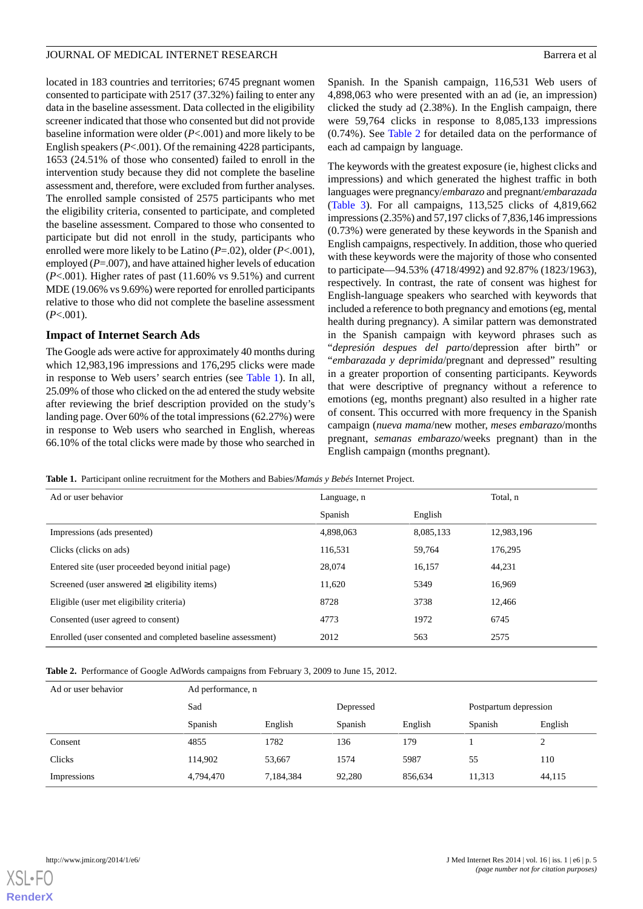located in 183 countries and territories; 6745 pregnant women consented to participate with 2517 (37.32%) failing to enter any data in the baseline assessment. Data collected in the eligibility screener indicated that those who consented but did not provide baseline information were older (*P*<.001) and more likely to be English speakers (*P*<.001). Of the remaining 4228 participants, 1653 (24.51% of those who consented) failed to enroll in the intervention study because they did not complete the baseline assessment and, therefore, were excluded from further analyses. The enrolled sample consisted of 2575 participants who met the eligibility criteria, consented to participate, and completed the baseline assessment. Compared to those who consented to participate but did not enroll in the study, participants who enrolled were more likely to be Latino (*P*=.02), older (*P*<.001), employed (*P*=.007), and have attained higher levels of education (*P*<.001). Higher rates of past (11.60% vs 9.51%) and current MDE (19.06% vs 9.69%) were reported for enrolled participants relative to those who did not complete the baseline assessment (*P*<.001).

# **Impact of Internet Search Ads**

The Google ads were active for approximately 40 months during which 12,983,196 impressions and 176,295 clicks were made in response to Web users' search entries (see [Table 1](#page-4-0)). In all, 25.09% of those who clicked on the ad entered the study website after reviewing the brief description provided on the study's landing page. Over 60% of the total impressions (62.27%) were in response to Web users who searched in English, whereas 66.10% of the total clicks were made by those who searched in Spanish. In the Spanish campaign, 116,531 Web users of 4,898,063 who were presented with an ad (ie, an impression) clicked the study ad (2.38%). In the English campaign, there were 59,764 clicks in response to 8,085,133 impressions (0.74%). See [Table 2](#page-4-1) for detailed data on the performance of each ad campaign by language.

The keywords with the greatest exposure (ie, highest clicks and impressions) and which generated the highest traffic in both languages were pregnancy/*embarazo* and pregnant/*embarazada* ([Table 3\)](#page-5-0). For all campaigns, 113,525 clicks of 4,819,662 impressions (2.35%) and 57,197 clicks of 7,836,146 impressions (0.73%) were generated by these keywords in the Spanish and English campaigns, respectively. In addition, those who queried with these keywords were the majority of those who consented to participate—94.53% (4718/4992) and 92.87% (1823/1963), respectively. In contrast, the rate of consent was highest for English-language speakers who searched with keywords that included a reference to both pregnancy and emotions (eg, mental health during pregnancy). A similar pattern was demonstrated in the Spanish campaign with keyword phrases such as "*depresión despues del parto*/depression after birth" or "*embarazada y deprimida*/pregnant and depressed" resulting in a greater proportion of consenting participants. Keywords that were descriptive of pregnancy without a reference to emotions (eg, months pregnant) also resulted in a higher rate of consent. This occurred with more frequency in the Spanish campaign (*nueva mama*/new mother, *meses embarazo*/months pregnant, *semanas embarazo*/weeks pregnant) than in the English campaign (months pregnant).

<span id="page-4-0"></span>**Table 1.** Participant online recruitment for the Mothers and Babies/*Mamás y Bebés* Internet Project.

| Ad or user behavior                                         | Language, n |           | Total, n   |
|-------------------------------------------------------------|-------------|-----------|------------|
|                                                             | Spanish     | English   |            |
| Impressions (ads presented)                                 | 4.898.063   | 8,085,133 | 12,983,196 |
| Clicks (clicks on ads)                                      | 116,531     | 59,764    | 176,295    |
| Entered site (user proceeded beyond initial page)           | 28,074      | 16,157    | 44,231     |
| Screened (user answered $\geq 1$ eligibility items)         | 11,620      | 5349      | 16,969     |
| Eligible (user met eligibility criteria)                    | 8728        | 3738      | 12,466     |
| Consented (user agreed to consent)                          | 4773        | 1972      | 6745       |
| Enrolled (user consented and completed baseline assessment) | 2012        | 563       | 2575       |

<span id="page-4-1"></span>**Table 2.** Performance of Google AdWords campaigns from February 3, 2009 to June 15, 2012.

| Ad or user behavior | Ad performance, n |           |           |         |                       |         |
|---------------------|-------------------|-----------|-----------|---------|-----------------------|---------|
|                     | Sad               |           | Depressed |         | Postpartum depression |         |
|                     | Spanish           | English   | Spanish   | English | Spanish               | English |
| Consent             | 4855              | 1782      | 136       | 179     |                       | ↑       |
| <b>Clicks</b>       | 114,902           | 53,667    | 1574      | 5987    | 55                    | 110     |
| Impressions         | 4,794,470         | 7,184,384 | 92,280    | 856,634 | 11,313                | 44,115  |

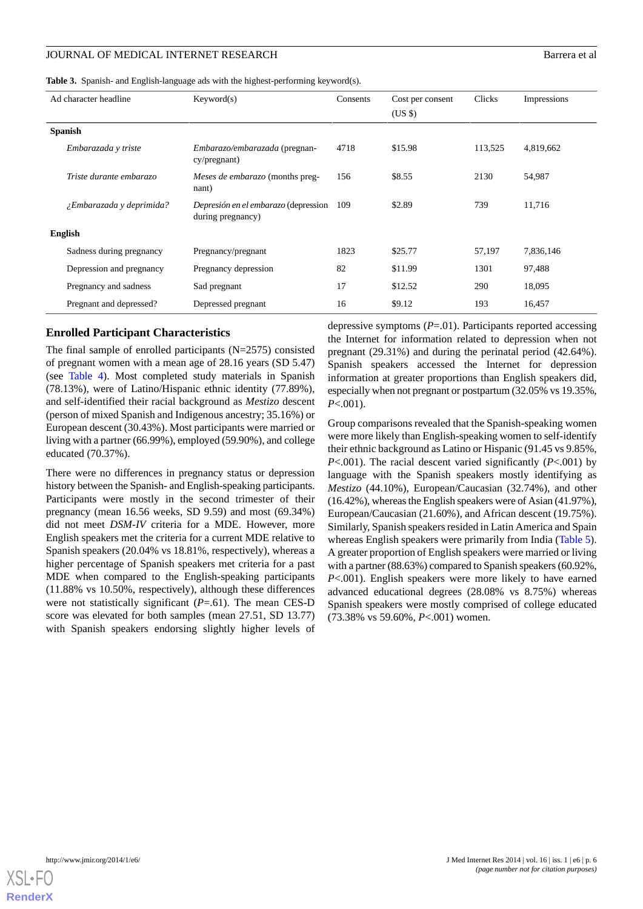<span id="page-5-0"></span>**Table 3.** Spanish- and English-language ads with the highest-performing keyword(s).

| Ad character headline    | Keywords)                                                 | Consents | Cost per consent<br>$(US \$ | Clicks  | Impressions |
|--------------------------|-----------------------------------------------------------|----------|-----------------------------|---------|-------------|
| <b>Spanish</b>           |                                                           |          |                             |         |             |
| Embarazada y triste      | Embarazo/embarazada (pregnan-<br>cy/pregnant)             | 4718     | \$15.98                     | 113,525 | 4,819,662   |
| Triste durante embarazo  | Meses de embarazo (months preg-<br>nant)                  | 156      | \$8.55                      | 2130    | 54,987      |
| ¿Embarazada y deprimida? | Depresión en el embarazo (depression<br>during pregnancy) | 109      | \$2.89                      | 739     | 11,716      |
| <b>English</b>           |                                                           |          |                             |         |             |
| Sadness during pregnancy | Pregnancy/pregnant                                        | 1823     | \$25.77                     | 57,197  | 7,836,146   |
| Depression and pregnancy | Pregnancy depression                                      | 82       | \$11.99                     | 1301    | 97,488      |
| Pregnancy and sadness    | Sad pregnant                                              | 17       | \$12.52                     | 290     | 18,095      |
| Pregnant and depressed?  | Depressed pregnant                                        | 16       | \$9.12                      | 193     | 16,457      |

# **Enrolled Participant Characteristics**

The final sample of enrolled participants (N=2575) consisted of pregnant women with a mean age of 28.16 years (SD 5.47) (see [Table 4\)](#page-6-0). Most completed study materials in Spanish (78.13%), were of Latino/Hispanic ethnic identity (77.89%), and self-identified their racial background as *Mestizo* descent (person of mixed Spanish and Indigenous ancestry; 35.16%) or European descent (30.43%). Most participants were married or living with a partner (66.99%), employed (59.90%), and college educated (70.37%).

There were no differences in pregnancy status or depression history between the Spanish- and English-speaking participants. Participants were mostly in the second trimester of their pregnancy (mean 16.56 weeks, SD 9.59) and most (69.34%) did not meet *DSM-IV* criteria for a MDE. However, more English speakers met the criteria for a current MDE relative to Spanish speakers (20.04% vs 18.81%, respectively), whereas a higher percentage of Spanish speakers met criteria for a past MDE when compared to the English-speaking participants (11.88% vs 10.50%, respectively), although these differences were not statistically significant (*P*=.61). The mean CES-D score was elevated for both samples (mean 27.51, SD 13.77) with Spanish speakers endorsing slightly higher levels of

depressive symptoms (*P*=.01). Participants reported accessing the Internet for information related to depression when not pregnant (29.31%) and during the perinatal period (42.64%). Spanish speakers accessed the Internet for depression information at greater proportions than English speakers did, especially when not pregnant or postpartum (32.05% vs 19.35%, *P*<.001).

Group comparisons revealed that the Spanish-speaking women were more likely than English-speaking women to self-identify their ethnic background as Latino or Hispanic (91.45 vs 9.85%, *P*<.001). The racial descent varied significantly (*P*<.001) by language with the Spanish speakers mostly identifying as *Mestizo* (44.10%), European/Caucasian (32.74%), and other (16.42%), whereas the English speakers were of Asian (41.97%), European/Caucasian (21.60%), and African descent (19.75%). Similarly, Spanish speakers resided in Latin America and Spain whereas English speakers were primarily from India ([Table 5\)](#page-7-0). A greater proportion of English speakers were married or living with a partner (88.63%) compared to Spanish speakers (60.92%, *P*<.001). English speakers were more likely to have earned advanced educational degrees (28.08% vs 8.75%) whereas Spanish speakers were mostly comprised of college educated (73.38% vs 59.60%, *P*<.001) women.

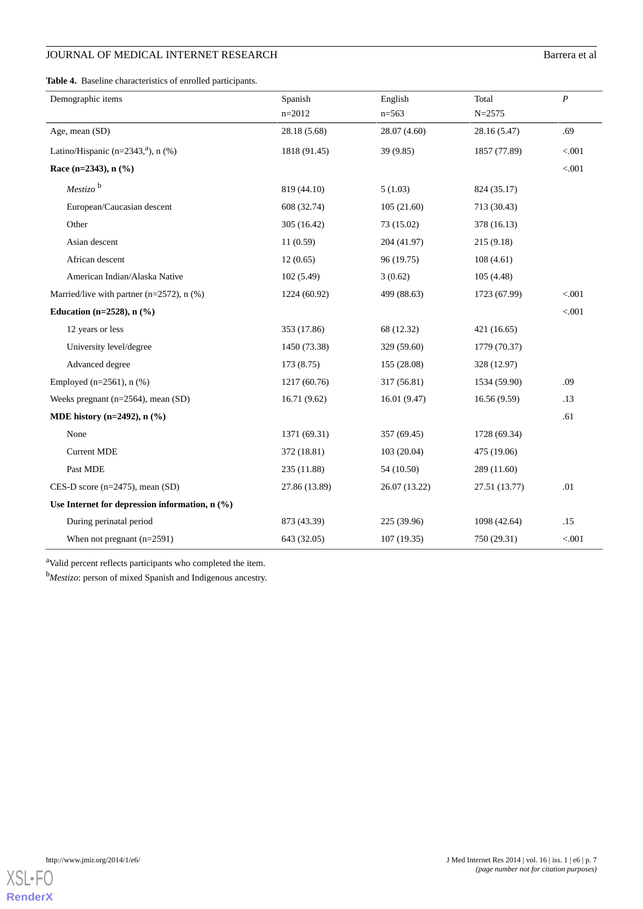# **JOURNAL OF MEDICAL INTERNET RESEARCH** Barrera et al

<span id="page-6-0"></span>**Table 4.** Baseline characteristics of enrolled participants.

| Demographic items                                | Spanish       | English       | Total         | $\boldsymbol{P}$ |
|--------------------------------------------------|---------------|---------------|---------------|------------------|
|                                                  | $n=2012$      | $n=563$       | $N = 2575$    |                  |
| Age, mean (SD)                                   | 28.18 (5.68)  | 28.07 (4.60)  | 28.16 (5.47)  | .69              |
| Latino/Hispanic (n= $2343$ , $\text{a}$ ), n (%) | 1818 (91.45)  | 39(9.85)      | 1857 (77.89)  | < .001           |
| Race (n=2343), $n$ (%)                           |               |               |               | < .001           |
| $Mestizo$ <sup>b</sup>                           | 819 (44.10)   | 5(1.03)       | 824 (35.17)   |                  |
| European/Caucasian descent                       | 608 (32.74)   | 105(21.60)    | 713 (30.43)   |                  |
| Other                                            | 305 (16.42)   | 73 (15.02)    | 378 (16.13)   |                  |
| Asian descent                                    | 11(0.59)      | 204 (41.97)   | 215(9.18)     |                  |
| African descent                                  | 12(0.65)      | 96 (19.75)    | 108(4.61)     |                  |
| American Indian/Alaska Native                    | 102(5.49)     | 3(0.62)       | 105(4.48)     |                  |
| Married/live with partner ( $n=2572$ ), $n$ (%)  | 1224 (60.92)  | 499 (88.63)   | 1723 (67.99)  | < .001           |
| Education (n= $2528$ ), n $(\% )$                |               |               |               | < .001           |
| 12 years or less                                 | 353 (17.86)   | 68 (12.32)    | 421 (16.65)   |                  |
| University level/degree                          | 1450 (73.38)  | 329 (59.60)   | 1779 (70.37)  |                  |
| Advanced degree                                  | 173 (8.75)    | 155 (28.08)   | 328 (12.97)   |                  |
| Employed ( $n=2561$ ), $n$ (%)                   | 1217 (60.76)  | 317 (56.81)   | 1534 (59.90)  | .09              |
| Weeks pregnant ( $n=2564$ ), mean (SD)           | 16.71(9.62)   | 16.01(9.47)   | 16.56(9.59)   | .13              |
| MDE history (n=2492), $n$ (%)                    |               |               |               | .61              |
| None                                             | 1371 (69.31)  | 357 (69.45)   | 1728 (69.34)  |                  |
| <b>Current MDE</b>                               | 372 (18.81)   | 103(20.04)    | 475 (19.06)   |                  |
| Past MDE                                         | 235 (11.88)   | 54 (10.50)    | 289 (11.60)   |                  |
| CES-D score (n=2475), mean (SD)                  | 27.86 (13.89) | 26.07 (13.22) | 27.51 (13.77) | .01              |
| Use Internet for depression information, $n$ (%) |               |               |               |                  |
| During perinatal period                          | 873 (43.39)   | 225 (39.96)   | 1098 (42.64)  | .15              |
| When not pregnant $(n=2591)$                     | 643 (32.05)   | 107(19.35)    | 750 (29.31)   | < .001           |

<sup>a</sup>Valid percent reflects participants who completed the item.

<sup>b</sup>*Mestizo*: person of mixed Spanish and Indigenous ancestry.

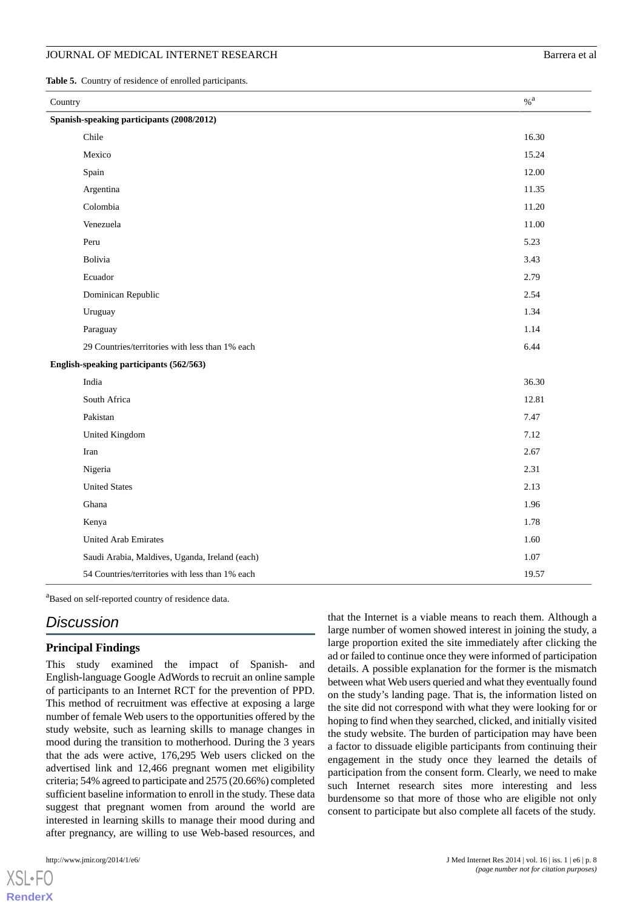#### JOURNAL OF MEDICAL INTERNET RESEARCH BATTER AND THE SEARCH BATTER OF ALL AND THE BATTER OF ALL AND BATTER AT A

<span id="page-7-0"></span>**Table 5.** Country of residence of enrolled participants.

| Country                                   |                                                 | $\%$ $^{\rm a}$ |  |  |
|-------------------------------------------|-------------------------------------------------|-----------------|--|--|
| Spanish-speaking participants (2008/2012) |                                                 |                 |  |  |
|                                           | Chile                                           | 16.30           |  |  |
|                                           | Mexico                                          | 15.24           |  |  |
|                                           | Spain                                           | 12.00           |  |  |
|                                           | Argentina                                       | 11.35           |  |  |
|                                           | Colombia                                        | 11.20           |  |  |
|                                           | Venezuela                                       | 11.00           |  |  |
|                                           | Peru                                            | 5.23            |  |  |
|                                           | Bolivia                                         | 3.43            |  |  |
|                                           | Ecuador                                         | 2.79            |  |  |
|                                           | Dominican Republic                              | 2.54            |  |  |
|                                           | Uruguay                                         | 1.34            |  |  |
|                                           | Paraguay                                        | 1.14            |  |  |
|                                           | 29 Countries/territories with less than 1% each | 6.44            |  |  |
| English-speaking participants (562/563)   |                                                 |                 |  |  |
|                                           | India                                           | 36.30           |  |  |
|                                           | South Africa                                    | 12.81           |  |  |
|                                           | Pakistan                                        | 7.47            |  |  |
|                                           | United Kingdom                                  | 7.12            |  |  |
|                                           | Iran                                            | 2.67            |  |  |
|                                           | Nigeria                                         | 2.31            |  |  |
|                                           | <b>United States</b>                            | 2.13            |  |  |
|                                           | Ghana                                           | 1.96            |  |  |
|                                           | Kenya                                           | 1.78            |  |  |
|                                           | <b>United Arab Emirates</b>                     | 1.60            |  |  |
|                                           | Saudi Arabia, Maldives, Uganda, Ireland (each)  | 1.07            |  |  |
|                                           | 54 Countries/territories with less than 1% each | 19.57           |  |  |

<sup>a</sup>Based on self-reported country of residence data.

# *Discussion*

# **Principal Findings**

This study examined the impact of Spanish- and English-language Google AdWords to recruit an online sample of participants to an Internet RCT for the prevention of PPD. This method of recruitment was effective at exposing a large number of female Web users to the opportunities offered by the study website, such as learning skills to manage changes in mood during the transition to motherhood. During the 3 years that the ads were active, 176,295 Web users clicked on the advertised link and 12,466 pregnant women met eligibility criteria; 54% agreed to participate and 2575 (20.66%) completed sufficient baseline information to enroll in the study. These data suggest that pregnant women from around the world are interested in learning skills to manage their mood during and after pregnancy, are willing to use Web-based resources, and

 $X$ SL•FO **[RenderX](http://www.renderx.com/)** that the Internet is a viable means to reach them. Although a large number of women showed interest in joining the study, a large proportion exited the site immediately after clicking the ad or failed to continue once they were informed of participation details. A possible explanation for the former is the mismatch between what Web users queried and what they eventually found on the study's landing page. That is, the information listed on the site did not correspond with what they were looking for or hoping to find when they searched, clicked, and initially visited the study website. The burden of participation may have been a factor to dissuade eligible participants from continuing their engagement in the study once they learned the details of participation from the consent form. Clearly, we need to make such Internet research sites more interesting and less burdensome so that more of those who are eligible not only consent to participate but also complete all facets of the study.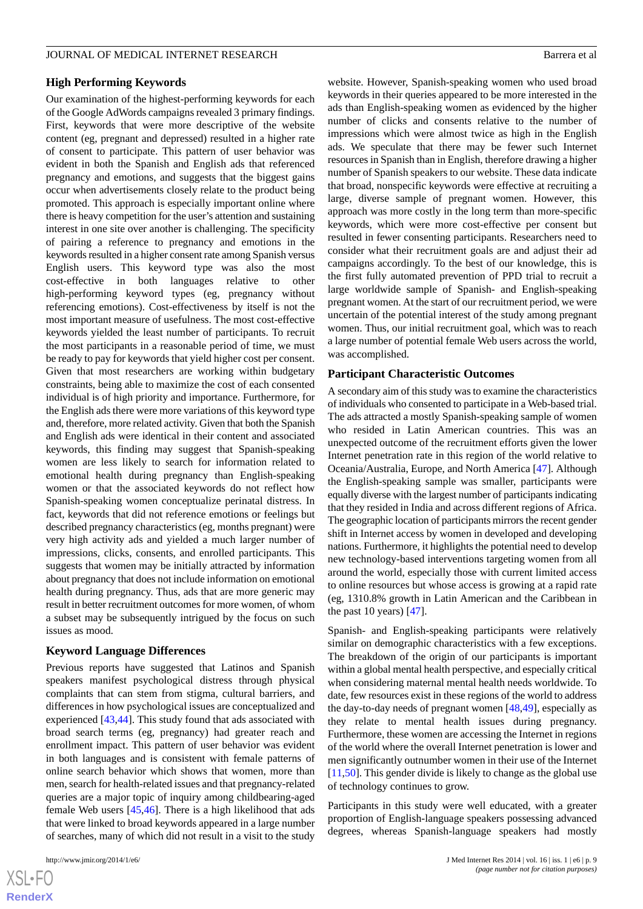# **High Performing Keywords**

Our examination of the highest-performing keywords for each of the Google AdWords campaigns revealed 3 primary findings. First, keywords that were more descriptive of the website content (eg, pregnant and depressed) resulted in a higher rate of consent to participate. This pattern of user behavior was evident in both the Spanish and English ads that referenced pregnancy and emotions, and suggests that the biggest gains occur when advertisements closely relate to the product being promoted. This approach is especially important online where there is heavy competition for the user's attention and sustaining interest in one site over another is challenging. The specificity of pairing a reference to pregnancy and emotions in the keywords resulted in a higher consent rate among Spanish versus English users. This keyword type was also the most cost-effective in both languages relative to other high-performing keyword types (eg, pregnancy without referencing emotions). Cost-effectiveness by itself is not the most important measure of usefulness. The most cost-effective keywords yielded the least number of participants. To recruit the most participants in a reasonable period of time, we must be ready to pay for keywords that yield higher cost per consent. Given that most researchers are working within budgetary constraints, being able to maximize the cost of each consented individual is of high priority and importance. Furthermore, for the English ads there were more variations of this keyword type and, therefore, more related activity. Given that both the Spanish and English ads were identical in their content and associated keywords, this finding may suggest that Spanish-speaking women are less likely to search for information related to emotional health during pregnancy than English-speaking women or that the associated keywords do not reflect how Spanish-speaking women conceptualize perinatal distress. In fact, keywords that did not reference emotions or feelings but described pregnancy characteristics (eg, months pregnant) were very high activity ads and yielded a much larger number of impressions, clicks, consents, and enrolled participants. This suggests that women may be initially attracted by information about pregnancy that does not include information on emotional health during pregnancy. Thus, ads that are more generic may result in better recruitment outcomes for more women, of whom a subset may be subsequently intrigued by the focus on such issues as mood.

#### **Keyword Language Differences**

Previous reports have suggested that Latinos and Spanish speakers manifest psychological distress through physical complaints that can stem from stigma, cultural barriers, and differences in how psychological issues are conceptualized and experienced [\[43](#page-11-16),[44\]](#page-11-17). This study found that ads associated with broad search terms (eg, pregnancy) had greater reach and enrollment impact. This pattern of user behavior was evident in both languages and is consistent with female patterns of online search behavior which shows that women, more than men, search for health-related issues and that pregnancy-related queries are a major topic of inquiry among childbearing-aged female Web users [[45](#page-11-18)[,46](#page-11-19)]. There is a high likelihood that ads that were linked to broad keywords appeared in a large number of searches, many of which did not result in a visit to the study

website. However, Spanish-speaking women who used broad keywords in their queries appeared to be more interested in the ads than English-speaking women as evidenced by the higher number of clicks and consents relative to the number of impressions which were almost twice as high in the English ads. We speculate that there may be fewer such Internet resources in Spanish than in English, therefore drawing a higher number of Spanish speakers to our website. These data indicate that broad, nonspecific keywords were effective at recruiting a large, diverse sample of pregnant women. However, this approach was more costly in the long term than more-specific keywords, which were more cost-effective per consent but resulted in fewer consenting participants. Researchers need to consider what their recruitment goals are and adjust their ad campaigns accordingly. To the best of our knowledge, this is the first fully automated prevention of PPD trial to recruit a large worldwide sample of Spanish- and English-speaking pregnant women. At the start of our recruitment period, we were uncertain of the potential interest of the study among pregnant women. Thus, our initial recruitment goal, which was to reach a large number of potential female Web users across the world, was accomplished.

#### **Participant Characteristic Outcomes**

A secondary aim of this study was to examine the characteristics of individuals who consented to participate in a Web-based trial. The ads attracted a mostly Spanish-speaking sample of women who resided in Latin American countries. This was an unexpected outcome of the recruitment efforts given the lower Internet penetration rate in this region of the world relative to Oceania/Australia, Europe, and North America [[47\]](#page-11-20). Although the English-speaking sample was smaller, participants were equally diverse with the largest number of participants indicating that they resided in India and across different regions of Africa. The geographic location of participants mirrors the recent gender shift in Internet access by women in developed and developing nations. Furthermore, it highlights the potential need to develop new technology-based interventions targeting women from all around the world, especially those with current limited access to online resources but whose access is growing at a rapid rate (eg, 1310.8% growth in Latin American and the Caribbean in the past 10 years)  $[47]$  $[47]$ .

Spanish- and English-speaking participants were relatively similar on demographic characteristics with a few exceptions. The breakdown of the origin of our participants is important within a global mental health perspective, and especially critical when considering maternal mental health needs worldwide. To date, few resources exist in these regions of the world to address the day-to-day needs of pregnant women [[48,](#page-11-21)[49](#page-11-22)], especially as they relate to mental health issues during pregnancy. Furthermore, these women are accessing the Internet in regions of the world where the overall Internet penetration is lower and men significantly outnumber women in their use of the Internet [[11,](#page-10-7)[50\]](#page-12-0). This gender divide is likely to change as the global use of technology continues to grow.

Participants in this study were well educated, with a greater proportion of English-language speakers possessing advanced degrees, whereas Spanish-language speakers had mostly

 $XS$ -FO **[RenderX](http://www.renderx.com/)**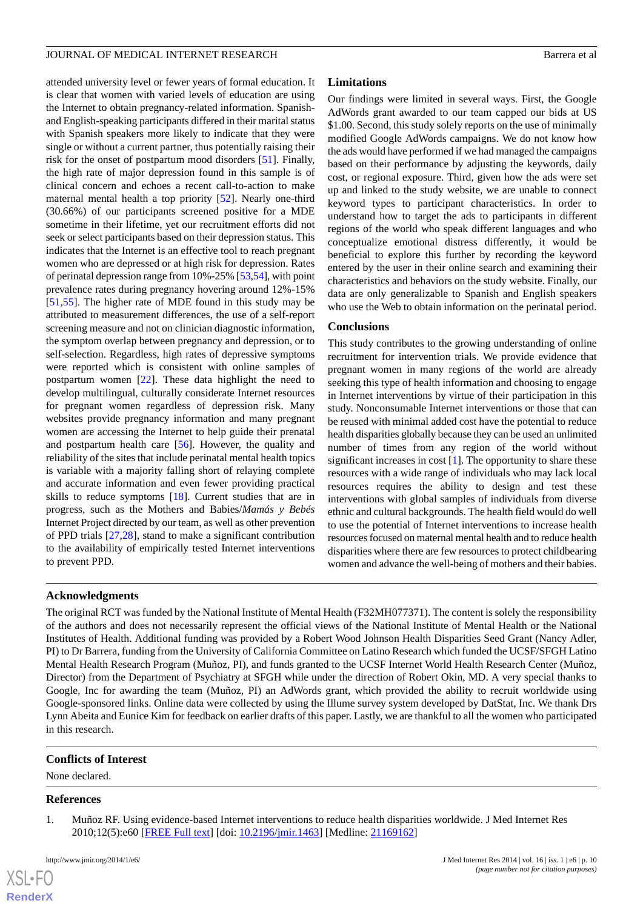attended university level or fewer years of formal education. It is clear that women with varied levels of education are using the Internet to obtain pregnancy-related information. Spanishand English-speaking participants differed in their marital status with Spanish speakers more likely to indicate that they were single or without a current partner, thus potentially raising their risk for the onset of postpartum mood disorders [[51\]](#page-12-1). Finally, the high rate of major depression found in this sample is of clinical concern and echoes a recent call-to-action to make maternal mental health a top priority [[52\]](#page-12-2). Nearly one-third (30.66%) of our participants screened positive for a MDE sometime in their lifetime, yet our recruitment efforts did not seek or select participants based on their depression status. This indicates that the Internet is an effective tool to reach pregnant women who are depressed or at high risk for depression. Rates of perinatal depression range from 10%-25% [\[53](#page-12-3)[,54](#page-12-4)], with point prevalence rates during pregnancy hovering around 12%-15% [[51](#page-12-1)[,55](#page-12-5)]. The higher rate of MDE found in this study may be attributed to measurement differences, the use of a self-report screening measure and not on clinician diagnostic information, the symptom overlap between pregnancy and depression, or to self-selection. Regardless, high rates of depressive symptoms were reported which is consistent with online samples of postpartum women [\[22](#page-10-14)]. These data highlight the need to develop multilingual, culturally considerate Internet resources for pregnant women regardless of depression risk. Many websites provide pregnancy information and many pregnant women are accessing the Internet to help guide their prenatal and postpartum health care [[56\]](#page-12-6). However, the quality and reliability of the sites that include perinatal mental health topics is variable with a majority falling short of relaying complete and accurate information and even fewer providing practical skills to reduce symptoms [\[18](#page-10-11)]. Current studies that are in progress, such as the Mothers and Babies/*Mamás y Bebés* Internet Project directed by our team, as well as other prevention of PPD trials [[27](#page-11-1)[,28](#page-11-2)], stand to make a significant contribution to the availability of empirically tested Internet interventions to prevent PPD.

# **Limitations**

Our findings were limited in several ways. First, the Google AdWords grant awarded to our team capped our bids at US \$1.00. Second, this study solely reports on the use of minimally modified Google AdWords campaigns. We do not know how the ads would have performed if we had managed the campaigns based on their performance by adjusting the keywords, daily cost, or regional exposure. Third, given how the ads were set up and linked to the study website, we are unable to connect keyword types to participant characteristics. In order to understand how to target the ads to participants in different regions of the world who speak different languages and who conceptualize emotional distress differently, it would be beneficial to explore this further by recording the keyword entered by the user in their online search and examining their characteristics and behaviors on the study website. Finally, our data are only generalizable to Spanish and English speakers who use the Web to obtain information on the perinatal period.

# **Conclusions**

This study contributes to the growing understanding of online recruitment for intervention trials. We provide evidence that pregnant women in many regions of the world are already seeking this type of health information and choosing to engage in Internet interventions by virtue of their participation in this study. Nonconsumable Internet interventions or those that can be reused with minimal added cost have the potential to reduce health disparities globally because they can be used an unlimited number of times from any region of the world without significant increases in cost [[1\]](#page-9-0). The opportunity to share these resources with a wide range of individuals who may lack local resources requires the ability to design and test these interventions with global samples of individuals from diverse ethnic and cultural backgrounds. The health field would do well to use the potential of Internet interventions to increase health resources focused on maternal mental health and to reduce health disparities where there are few resources to protect childbearing women and advance the well-being of mothers and their babies.

# **Acknowledgments**

The original RCT was funded by the National Institute of Mental Health (F32MH077371). The content is solely the responsibility of the authors and does not necessarily represent the official views of the National Institute of Mental Health or the National Institutes of Health. Additional funding was provided by a Robert Wood Johnson Health Disparities Seed Grant (Nancy Adler, PI) to Dr Barrera, funding from the University of California Committee on Latino Research which funded the UCSF/SFGH Latino Mental Health Research Program (Muñoz, PI), and funds granted to the UCSF Internet World Health Research Center (Muñoz, Director) from the Department of Psychiatry at SFGH while under the direction of Robert Okin, MD. A very special thanks to Google, Inc for awarding the team (Muñoz, PI) an AdWords grant, which provided the ability to recruit worldwide using Google-sponsored links. Online data were collected by using the Illume survey system developed by DatStat, Inc. We thank Drs Lynn Abeita and Eunice Kim for feedback on earlier drafts of this paper. Lastly, we are thankful to all the women who participated in this research.

# <span id="page-9-0"></span>**Conflicts of Interest**

None declared.

# **References**

 $XS$  $\cdot$ FC **[RenderX](http://www.renderx.com/)**

1. Muñoz RF. Using evidence-based Internet interventions to reduce health disparities worldwide. J Med Internet Res 2010;12(5):e60 [\[FREE Full text](http://www.jmir.org/2010/5/e60/)] [doi: [10.2196/jmir.1463\]](http://dx.doi.org/10.2196/jmir.1463) [Medline: [21169162](http://www.ncbi.nlm.nih.gov/entrez/query.fcgi?cmd=Retrieve&db=PubMed&list_uids=21169162&dopt=Abstract)]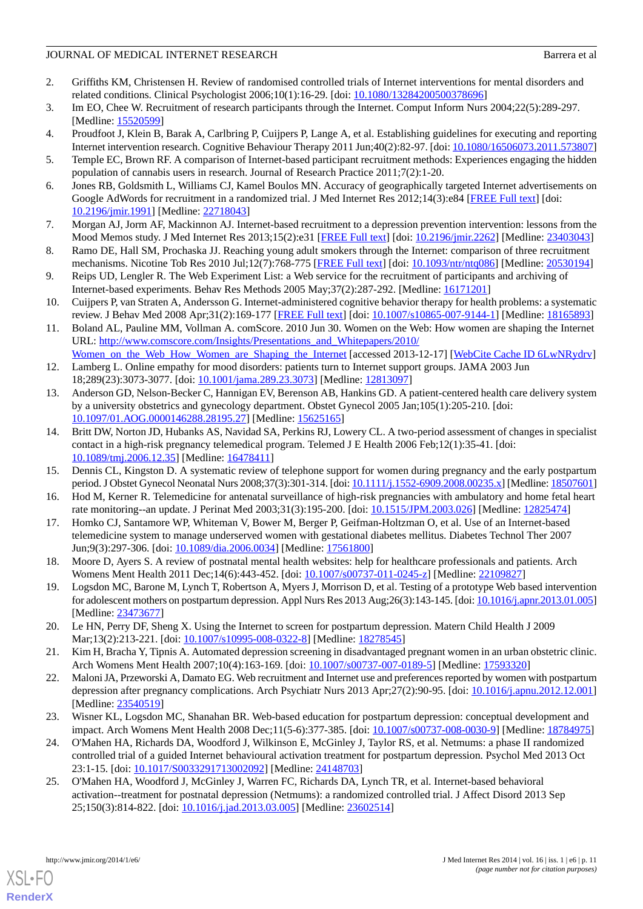# JOURNAL OF MEDICAL INTERNET RESEARCH BATTER AND THE SEARCH BATTER OF MEDICAL INTERNET RESEARCH

- <span id="page-10-1"></span>2. Griffiths KM, Christensen H. Review of randomised controlled trials of Internet interventions for mental disorders and related conditions. Clinical Psychologist 2006;10(1):16-29. [doi: [10.1080/13284200500378696\]](http://dx.doi.org/10.1080/13284200500378696)
- <span id="page-10-2"></span><span id="page-10-0"></span>3. Im EO, Chee W. Recruitment of research participants through the Internet. Comput Inform Nurs 2004;22(5):289-297. [Medline: [15520599](http://www.ncbi.nlm.nih.gov/entrez/query.fcgi?cmd=Retrieve&db=PubMed&list_uids=15520599&dopt=Abstract)]
- <span id="page-10-3"></span>4. Proudfoot J, Klein B, Barak A, Carlbring P, Cuijpers P, Lange A, et al. Establishing guidelines for executing and reporting Internet intervention research. Cognitive Behaviour Therapy 2011 Jun;40(2):82-97. [doi: [10.1080/16506073.2011.573807](http://dx.doi.org/10.1080/16506073.2011.573807)]
- <span id="page-10-4"></span>5. Temple EC, Brown RF. A comparison of Internet-based participant recruitment methods: Experiences engaging the hidden population of cannabis users in research. Journal of Research Practice 2011;7(2):1-20.
- 6. Jones RB, Goldsmith L, Williams CJ, Kamel Boulos MN. Accuracy of geographically targeted Internet advertisements on Google AdWords for recruitment in a randomized trial. J Med Internet Res 2012;14(3):e84 [[FREE Full text](http://www.jmir.org/2012/3/e84/)] [doi: [10.2196/jmir.1991](http://dx.doi.org/10.2196/jmir.1991)] [Medline: [22718043](http://www.ncbi.nlm.nih.gov/entrez/query.fcgi?cmd=Retrieve&db=PubMed&list_uids=22718043&dopt=Abstract)]
- <span id="page-10-18"></span>7. Morgan AJ, Jorm AF, Mackinnon AJ. Internet-based recruitment to a depression prevention intervention: lessons from the Mood Memos study. J Med Internet Res 2013;15(2):e31 [\[FREE Full text\]](http://www.jmir.org/2013/2/e31/) [doi: [10.2196/jmir.2262\]](http://dx.doi.org/10.2196/jmir.2262) [Medline: [23403043](http://www.ncbi.nlm.nih.gov/entrez/query.fcgi?cmd=Retrieve&db=PubMed&list_uids=23403043&dopt=Abstract)]
- <span id="page-10-5"></span>8. Ramo DE, Hall SM, Prochaska JJ. Reaching young adult smokers through the Internet: comparison of three recruitment mechanisms. Nicotine Tob Res 2010 Jul;12(7):768-775 [[FREE Full text](http://europepmc.org/abstract/MED/20530194)] [doi: [10.1093/ntr/ntq086](http://dx.doi.org/10.1093/ntr/ntq086)] [Medline: [20530194](http://www.ncbi.nlm.nih.gov/entrez/query.fcgi?cmd=Retrieve&db=PubMed&list_uids=20530194&dopt=Abstract)]
- <span id="page-10-6"></span>9. Reips UD, Lengler R. The Web Experiment List: a Web service for the recruitment of participants and archiving of Internet-based experiments. Behav Res Methods 2005 May;37(2):287-292. [Medline: [16171201](http://www.ncbi.nlm.nih.gov/entrez/query.fcgi?cmd=Retrieve&db=PubMed&list_uids=16171201&dopt=Abstract)]
- <span id="page-10-7"></span>10. Cuijpers P, van Straten A, Andersson G. Internet-administered cognitive behavior therapy for health problems: a systematic review. J Behav Med 2008 Apr;31(2):169-177 [\[FREE Full text\]](http://europepmc.org/abstract/MED/18165893) [doi: [10.1007/s10865-007-9144-1\]](http://dx.doi.org/10.1007/s10865-007-9144-1) [Medline: [18165893\]](http://www.ncbi.nlm.nih.gov/entrez/query.fcgi?cmd=Retrieve&db=PubMed&list_uids=18165893&dopt=Abstract)
- <span id="page-10-8"></span>11. Boland AL, Pauline MM, Vollman A. comScore. 2010 Jun 30. Women on the Web: How women are shaping the Internet URL: [http://www.comscore.com/Insights/Presentations\\_and\\_Whitepapers/2010/](http://www.comscore.com/Insights/Presentations_and_Whitepapers/2010/Women_on_the_Web_How_Women_are_Shaping_the_Internet) Women on the Web How Women are Shaping the Internet [accessed 2013-12-17] [\[WebCite Cache ID 6LwNRydrv](http://www.webcitation.org/

                                    6LwNRydrv)]
- <span id="page-10-9"></span>12. Lamberg L. Online empathy for mood disorders: patients turn to Internet support groups. JAMA 2003 Jun 18;289(23):3073-3077. [doi: [10.1001/jama.289.23.3073\]](http://dx.doi.org/10.1001/jama.289.23.3073) [Medline: [12813097](http://www.ncbi.nlm.nih.gov/entrez/query.fcgi?cmd=Retrieve&db=PubMed&list_uids=12813097&dopt=Abstract)]
- 13. Anderson GD, Nelson-Becker C, Hannigan EV, Berenson AB, Hankins GD. A patient-centered health care delivery system by a university obstetrics and gynecology department. Obstet Gynecol 2005 Jan;105(1):205-210. [doi: [10.1097/01.AOG.0000146288.28195.27\]](http://dx.doi.org/10.1097/01.AOG.0000146288.28195.27) [Medline: [15625165\]](http://www.ncbi.nlm.nih.gov/entrez/query.fcgi?cmd=Retrieve&db=PubMed&list_uids=15625165&dopt=Abstract)
- 14. Britt DW, Norton JD, Hubanks AS, Navidad SA, Perkins RJ, Lowery CL. A two-period assessment of changes in specialist contact in a high-risk pregnancy telemedical program. Telemed J E Health 2006 Feb;12(1):35-41. [doi: [10.1089/tmj.2006.12.35\]](http://dx.doi.org/10.1089/tmj.2006.12.35) [Medline: [16478411](http://www.ncbi.nlm.nih.gov/entrez/query.fcgi?cmd=Retrieve&db=PubMed&list_uids=16478411&dopt=Abstract)]
- <span id="page-10-10"></span>15. Dennis CL, Kingston D. A systematic review of telephone support for women during pregnancy and the early postpartum period. J Obstet Gynecol Neonatal Nurs 2008;37(3):301-314. [doi: [10.1111/j.1552-6909.2008.00235.x](http://dx.doi.org/10.1111/j.1552-6909.2008.00235.x)] [Medline: [18507601\]](http://www.ncbi.nlm.nih.gov/entrez/query.fcgi?cmd=Retrieve&db=PubMed&list_uids=18507601&dopt=Abstract)
- <span id="page-10-11"></span>16. Hod M, Kerner R. Telemedicine for antenatal surveillance of high-risk pregnancies with ambulatory and home fetal heart rate monitoring--an update. J Perinat Med 2003;31(3):195-200. [doi: [10.1515/JPM.2003.026](http://dx.doi.org/10.1515/JPM.2003.026)] [Medline: [12825474](http://www.ncbi.nlm.nih.gov/entrez/query.fcgi?cmd=Retrieve&db=PubMed&list_uids=12825474&dopt=Abstract)]
- <span id="page-10-12"></span>17. Homko CJ, Santamore WP, Whiteman V, Bower M, Berger P, Geifman-Holtzman O, et al. Use of an Internet-based telemedicine system to manage underserved women with gestational diabetes mellitus. Diabetes Technol Ther 2007 Jun;9(3):297-306. [doi: [10.1089/dia.2006.0034\]](http://dx.doi.org/10.1089/dia.2006.0034) [Medline: [17561800\]](http://www.ncbi.nlm.nih.gov/entrez/query.fcgi?cmd=Retrieve&db=PubMed&list_uids=17561800&dopt=Abstract)
- <span id="page-10-13"></span>18. Moore D, Ayers S. A review of postnatal mental health websites: help for healthcare professionals and patients. Arch Womens Ment Health 2011 Dec;14(6):443-452. [doi: [10.1007/s00737-011-0245-z\]](http://dx.doi.org/10.1007/s00737-011-0245-z) [Medline: [22109827\]](http://www.ncbi.nlm.nih.gov/entrez/query.fcgi?cmd=Retrieve&db=PubMed&list_uids=22109827&dopt=Abstract)
- 19. Logsdon MC, Barone M, Lynch T, Robertson A, Myers J, Morrison D, et al. Testing of a prototype Web based intervention for adolescent mothers on postpartum depression. Appl Nurs Res 2013 Aug;26(3):143-145. [doi: [10.1016/j.apnr.2013.01.005\]](http://dx.doi.org/10.1016/j.apnr.2013.01.005) [Medline: [23473677](http://www.ncbi.nlm.nih.gov/entrez/query.fcgi?cmd=Retrieve&db=PubMed&list_uids=23473677&dopt=Abstract)]
- <span id="page-10-14"></span>20. Le HN, Perry DF, Sheng X. Using the Internet to screen for postpartum depression. Matern Child Health J 2009 Mar;13(2):213-221. [doi: [10.1007/s10995-008-0322-8](http://dx.doi.org/10.1007/s10995-008-0322-8)] [Medline: [18278545](http://www.ncbi.nlm.nih.gov/entrez/query.fcgi?cmd=Retrieve&db=PubMed&list_uids=18278545&dopt=Abstract)]
- <span id="page-10-15"></span>21. Kim H, Bracha Y, Tipnis A. Automated depression screening in disadvantaged pregnant women in an urban obstetric clinic. Arch Womens Ment Health 2007;10(4):163-169. [doi: [10.1007/s00737-007-0189-5](http://dx.doi.org/10.1007/s00737-007-0189-5)] [Medline: [17593320\]](http://www.ncbi.nlm.nih.gov/entrez/query.fcgi?cmd=Retrieve&db=PubMed&list_uids=17593320&dopt=Abstract)
- <span id="page-10-16"></span>22. Maloni JA, Przeworski A, Damato EG. Web recruitment and Internet use and preferences reported by women with postpartum depression after pregnancy complications. Arch Psychiatr Nurs 2013 Apr;27(2):90-95. [doi: [10.1016/j.apnu.2012.12.001](http://dx.doi.org/10.1016/j.apnu.2012.12.001)] [Medline: [23540519](http://www.ncbi.nlm.nih.gov/entrez/query.fcgi?cmd=Retrieve&db=PubMed&list_uids=23540519&dopt=Abstract)]
- <span id="page-10-17"></span>23. Wisner KL, Logsdon MC, Shanahan BR. Web-based education for postpartum depression: conceptual development and impact. Arch Womens Ment Health 2008 Dec;11(5-6):377-385. [doi: [10.1007/s00737-008-0030-9](http://dx.doi.org/10.1007/s00737-008-0030-9)] [Medline: [18784975](http://www.ncbi.nlm.nih.gov/entrez/query.fcgi?cmd=Retrieve&db=PubMed&list_uids=18784975&dopt=Abstract)]
- 24. O'Mahen HA, Richards DA, Woodford J, Wilkinson E, McGinley J, Taylor RS, et al. Netmums: a phase II randomized controlled trial of a guided Internet behavioural activation treatment for postpartum depression. Psychol Med 2013 Oct 23:1-15. [doi: [10.1017/S0033291713002092\]](http://dx.doi.org/10.1017/S0033291713002092) [Medline: [24148703\]](http://www.ncbi.nlm.nih.gov/entrez/query.fcgi?cmd=Retrieve&db=PubMed&list_uids=24148703&dopt=Abstract)
- 25. O'Mahen HA, Woodford J, McGinley J, Warren FC, Richards DA, Lynch TR, et al. Internet-based behavioral activation--treatment for postnatal depression (Netmums): a randomized controlled trial. J Affect Disord 2013 Sep 25;150(3):814-822. [doi: [10.1016/j.jad.2013.03.005\]](http://dx.doi.org/10.1016/j.jad.2013.03.005) [Medline: [23602514\]](http://www.ncbi.nlm.nih.gov/entrez/query.fcgi?cmd=Retrieve&db=PubMed&list_uids=23602514&dopt=Abstract)

[XSL](http://www.w3.org/Style/XSL)•FO **[RenderX](http://www.renderx.com/)**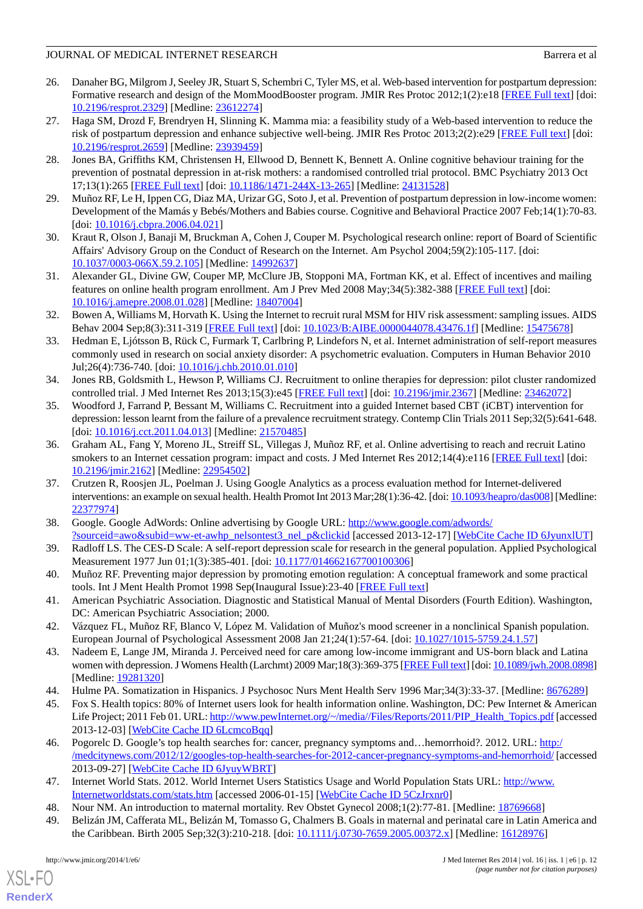# JOURNAL OF MEDICAL INTERNET RESEARCH BATTER AND THE SEARCH BATTER OF MEDICAL INTERNET RESEARCH

- <span id="page-11-0"></span>26. Danaher BG, Milgrom J, Seeley JR, Stuart S, Schembri C, Tyler MS, et al. Web-based intervention for postpartum depression: Formative research and design of the MomMoodBooster program. JMIR Res Protoc 2012;1(2):e18 [[FREE Full text](http://europepmc.org/abstract/MED/23612274)] [doi: [10.2196/resprot.2329](http://dx.doi.org/10.2196/resprot.2329)] [Medline: [23612274\]](http://www.ncbi.nlm.nih.gov/entrez/query.fcgi?cmd=Retrieve&db=PubMed&list_uids=23612274&dopt=Abstract)
- <span id="page-11-1"></span>27. Haga SM, Drozd F, Brendryen H, Slinning K. Mamma mia: a feasibility study of a Web-based intervention to reduce the risk of postpartum depression and enhance subjective well-being. JMIR Res Protoc 2013;2(2):e29 [\[FREE Full text](http://europepmc.org/abstract/MED/23939459)] [doi: [10.2196/resprot.2659](http://dx.doi.org/10.2196/resprot.2659)] [Medline: [23939459\]](http://www.ncbi.nlm.nih.gov/entrez/query.fcgi?cmd=Retrieve&db=PubMed&list_uids=23939459&dopt=Abstract)
- <span id="page-11-2"></span>28. Jones BA, Griffiths KM, Christensen H, Ellwood D, Bennett K, Bennett A. Online cognitive behaviour training for the prevention of postnatal depression in at-risk mothers: a randomised controlled trial protocol. BMC Psychiatry 2013 Oct 17;13(1):265 [[FREE Full text\]](http://www.biomedcentral.com/1471-244X/13/265) [doi: [10.1186/1471-244X-13-265\]](http://dx.doi.org/10.1186/1471-244X-13-265) [Medline: [24131528](http://www.ncbi.nlm.nih.gov/entrez/query.fcgi?cmd=Retrieve&db=PubMed&list_uids=24131528&dopt=Abstract)]
- <span id="page-11-4"></span><span id="page-11-3"></span>29. Muñoz RF, Le H, Ippen CG, Diaz MA, Urizar GG, Soto J, et al. Prevention of postpartum depression in low-income women: Development of the Mamás y Bebés/Mothers and Babies course. Cognitive and Behavioral Practice 2007 Feb;14(1):70-83. [doi: [10.1016/j.cbpra.2006.04.021](http://dx.doi.org/10.1016/j.cbpra.2006.04.021)]
- <span id="page-11-5"></span>30. Kraut R, Olson J, Banaji M, Bruckman A, Cohen J, Couper M. Psychological research online: report of Board of Scientific Affairs' Advisory Group on the Conduct of Research on the Internet. Am Psychol 2004;59(2):105-117. [doi: [10.1037/0003-066X.59.2.105\]](http://dx.doi.org/10.1037/0003-066X.59.2.105) [Medline: [14992637\]](http://www.ncbi.nlm.nih.gov/entrez/query.fcgi?cmd=Retrieve&db=PubMed&list_uids=14992637&dopt=Abstract)
- 31. Alexander GL, Divine GW, Couper MP, McClure JB, Stopponi MA, Fortman KK, et al. Effect of incentives and mailing features on online health program enrollment. Am J Prev Med 2008 May;34(5):382-388 [[FREE Full text](http://europepmc.org/abstract/MED/18407004)] [doi: [10.1016/j.amepre.2008.01.028](http://dx.doi.org/10.1016/j.amepre.2008.01.028)] [Medline: [18407004\]](http://www.ncbi.nlm.nih.gov/entrez/query.fcgi?cmd=Retrieve&db=PubMed&list_uids=18407004&dopt=Abstract)
- <span id="page-11-6"></span>32. Bowen A, Williams M, Horvath K. Using the Internet to recruit rural MSM for HIV risk assessment: sampling issues. AIDS Behav 2004 Sep;8(3):311-319 [\[FREE Full text\]](http://europepmc.org/abstract/MED/15475678) [doi: [10.1023/B:AIBE.0000044078.43476.1f\]](http://dx.doi.org/10.1023/B:AIBE.0000044078.43476.1f) [Medline: [15475678\]](http://www.ncbi.nlm.nih.gov/entrez/query.fcgi?cmd=Retrieve&db=PubMed&list_uids=15475678&dopt=Abstract)
- <span id="page-11-7"></span>33. Hedman E, Ljótsson B, Rück C, Furmark T, Carlbring P, Lindefors N, et al. Internet administration of self-report measures commonly used in research on social anxiety disorder: A psychometric evaluation. Computers in Human Behavior 2010 Jul;26(4):736-740. [doi: [10.1016/j.chb.2010.01.010](http://dx.doi.org/10.1016/j.chb.2010.01.010)]
- <span id="page-11-8"></span>34. Jones RB, Goldsmith L, Hewson P, Williams CJ. Recruitment to online therapies for depression: pilot cluster randomized controlled trial. J Med Internet Res 2013;15(3):e45 [\[FREE Full text\]](http://www.jmir.org/2013/3/e45/) [doi: [10.2196/jmir.2367](http://dx.doi.org/10.2196/jmir.2367)] [Medline: [23462072\]](http://www.ncbi.nlm.nih.gov/entrez/query.fcgi?cmd=Retrieve&db=PubMed&list_uids=23462072&dopt=Abstract)
- <span id="page-11-9"></span>35. Woodford J, Farrand P, Bessant M, Williams C. Recruitment into a guided Internet based CBT (iCBT) intervention for depression: lesson learnt from the failure of a prevalence recruitment strategy. Contemp Clin Trials 2011 Sep;32(5):641-648. [doi: [10.1016/j.cct.2011.04.013\]](http://dx.doi.org/10.1016/j.cct.2011.04.013) [Medline: [21570485](http://www.ncbi.nlm.nih.gov/entrez/query.fcgi?cmd=Retrieve&db=PubMed&list_uids=21570485&dopt=Abstract)]
- <span id="page-11-10"></span>36. Graham AL, Fang Y, Moreno JL, Streiff SL, Villegas J, Muñoz RF, et al. Online advertising to reach and recruit Latino smokers to an Internet cessation program: impact and costs. J Med Internet Res 2012;14(4):e116 [[FREE Full text](http://www.jmir.org/2012/4/e116/)] [doi: [10.2196/jmir.2162](http://dx.doi.org/10.2196/jmir.2162)] [Medline: [22954502](http://www.ncbi.nlm.nih.gov/entrez/query.fcgi?cmd=Retrieve&db=PubMed&list_uids=22954502&dopt=Abstract)]
- <span id="page-11-12"></span><span id="page-11-11"></span>37. Crutzen R, Roosjen JL, Poelman J. Using Google Analytics as a process evaluation method for Internet-delivered interventions: an example on sexual health. Health Promot Int 2013 Mar;28(1):36-42. [doi: [10.1093/heapro/das008](http://dx.doi.org/10.1093/heapro/das008)] [Medline: [22377974](http://www.ncbi.nlm.nih.gov/entrez/query.fcgi?cmd=Retrieve&db=PubMed&list_uids=22377974&dopt=Abstract)]
- <span id="page-11-13"></span>38. Google. Google AdWords: Online advertising by Google URL: [http://www.google.com/adwords/](http://www.google.com/adwords/?sourceid=awo&subid=ww-et-awhp_nelsontest3_nel_p&clickid) [?sourceid=awo&subid=ww-et-awhp\\_nelsontest3\\_nel\\_p&clickid](http://www.google.com/adwords/?sourceid=awo&subid=ww-et-awhp_nelsontest3_nel_p&clickid) [accessed 2013-12-17] [\[WebCite Cache ID 6JyunxlUT\]](http://www.webcitation.org/

                                    6JyunxlUT)
- <span id="page-11-14"></span>39. Radloff LS. The CES-D Scale: A self-report depression scale for research in the general population. Applied Psychological Measurement 1977 Jun 01;1(3):385-401. [doi: [10.1177/014662167700100306\]](http://dx.doi.org/10.1177/014662167700100306)
- <span id="page-11-16"></span><span id="page-11-15"></span>40. Muñoz RF. Preventing major depression by promoting emotion regulation: A conceptual framework and some practical tools. Int J Ment Health Promot 1998 Sep(Inaugural Issue):23-40 [\[FREE Full text\]](http://www.ijmhp.co.uk/1998_9.htm)
- 41. American Psychiatric Association. Diagnostic and Statistical Manual of Mental Disorders (Fourth Edition). Washington, DC: American Psychiatric Association; 2000.
- <span id="page-11-18"></span><span id="page-11-17"></span>42. Vázquez FL, Muñoz RF, Blanco V, López M. Validation of Muñoz's mood screener in a nonclinical Spanish population. European Journal of Psychological Assessment 2008 Jan 21;24(1):57-64. [doi: [10.1027/1015-5759.24.1.57\]](http://dx.doi.org/10.1027/1015-5759.24.1.57)
- <span id="page-11-19"></span>43. Nadeem E, Lange JM, Miranda J. Perceived need for care among low-income immigrant and US-born black and Latina women with depression. J Womens Health (Larchmt) 2009 Mar;18(3):369-375 [\[FREE Full text\]](http://europepmc.org/abstract/MED/19281320) [doi: [10.1089/jwh.2008.0898\]](http://dx.doi.org/10.1089/jwh.2008.0898) [Medline: [19281320](http://www.ncbi.nlm.nih.gov/entrez/query.fcgi?cmd=Retrieve&db=PubMed&list_uids=19281320&dopt=Abstract)]
- 44. Hulme PA. Somatization in Hispanics. J Psychosoc Nurs Ment Health Serv 1996 Mar;34(3):33-37. [Medline: [8676289](http://www.ncbi.nlm.nih.gov/entrez/query.fcgi?cmd=Retrieve&db=PubMed&list_uids=8676289&dopt=Abstract)]
- <span id="page-11-20"></span>45. Fox S. Health topics: 80% of Internet users look for health information online. Washington, DC: Pew Internet & American Life Project; 2011 Feb 01. URL: [http://www.pewInternet.org/~/media//Files/Reports/2011/PIP\\_Health\\_Topics.pdf](http://www.pewInternet.org/~/media//Files/Reports/2011/PIP_Health_Topics.pdf) [accessed] 2013-12-03] [\[WebCite Cache ID 6LcmcoBqq\]](http://www.webcitation.org/

                                    6LcmcoBqq)
- <span id="page-11-22"></span><span id="page-11-21"></span>46. Pogorelc D. Google's top health searches for: cancer, pregnancy symptoms and…hemorrhoid?. 2012. URL: [http:/](http://medcitynews.com/2012/12/googles-top-health-searches-for-2012-cancer-pregnancy-symptoms-and-hemorrhoid/) [/medcitynews.com/2012/12/googles-top-health-searches-for-2012-cancer-pregnancy-symptoms-and-hemorrhoid/](http://medcitynews.com/2012/12/googles-top-health-searches-for-2012-cancer-pregnancy-symptoms-and-hemorrhoid/) [accessed 2013-09-27] [\[WebCite Cache ID 6JyuyWBRT](http://www.webcitation.org/

                                    6JyuyWBRT)]
- 47. Internet World Stats. 2012. World Internet Users Statistics Usage and World Population Stats URL: [http://www.](http://www.Internetworldstats.com/stats.htm) [Internetworldstats.com/stats.htm](http://www.Internetworldstats.com/stats.htm) [accessed 2006-01-15] [\[WebCite Cache ID 5CzJrxnr0\]](http://www.webcitation.org/

                                    5CzJrxnr0)
- 48. Nour NM. An introduction to maternal mortality. Rev Obstet Gynecol 2008;1(2):77-81. [Medline: [18769668](http://www.ncbi.nlm.nih.gov/entrez/query.fcgi?cmd=Retrieve&db=PubMed&list_uids=18769668&dopt=Abstract)]
- 49. Belizán JM, Cafferata ML, Belizán M, Tomasso G, Chalmers B. Goals in maternal and perinatal care in Latin America and the Caribbean. Birth 2005 Sep;32(3):210-218. [doi: [10.1111/j.0730-7659.2005.00372.x](http://dx.doi.org/10.1111/j.0730-7659.2005.00372.x)] [Medline: [16128976](http://www.ncbi.nlm.nih.gov/entrez/query.fcgi?cmd=Retrieve&db=PubMed&list_uids=16128976&dopt=Abstract)]

[XSL](http://www.w3.org/Style/XSL)•FO **[RenderX](http://www.renderx.com/)**